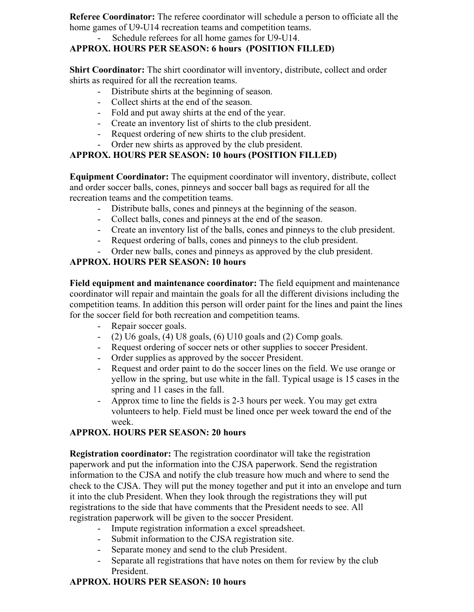**Referee Coordinator:** The referee coordinator will schedule a person to officiate all the home games of U9-U14 recreation teams and competition teams.

#### Schedule referees for all home games for U9-U14.

## **APPROX. HOURS PER SEASON: 6 hours (POSITION FILLED)**

**Shirt Coordinator:** The shirt coordinator will inventory, distribute, collect and order shirts as required for all the recreation teams.

- Distribute shirts at the beginning of season.
- Collect shirts at the end of the season.
- Fold and put away shirts at the end of the year.
- Create an inventory list of shirts to the club president.
- Request ordering of new shirts to the club president.
- Order new shirts as approved by the club president.

# **APPROX. HOURS PER SEASON: 10 hours (POSITION FILLED)**

**Equipment Coordinator:** The equipment coordinator will inventory, distribute, collect and order soccer balls, cones, pinneys and soccer ball bags as required for all the recreation teams and the competition teams.

- Distribute balls, cones and pinneys at the beginning of the season.
- Collect balls, cones and pinneys at the end of the season.
- Create an inventory list of the balls, cones and pinneys to the club president.
- Request ordering of balls, cones and pinneys to the club president.
- Order new balls, cones and pinneys as approved by the club president.

### **APPROX. HOURS PER SEASON: 10 hours**

**Field equipment and maintenance coordinator:** The field equipment and maintenance coordinator will repair and maintain the goals for all the different divisions including the competition teams. In addition this person will order paint for the lines and paint the lines for the soccer field for both recreation and competition teams.

- Repair soccer goals.
- $-$  (2) U6 goals, (4) U8 goals, (6) U10 goals and (2) Comp goals.
- Request ordering of soccer nets or other supplies to soccer President.
- Order supplies as approved by the soccer President.
- Request and order paint to do the soccer lines on the field. We use orange or yellow in the spring, but use white in the fall. Typical usage is 15 cases in the spring and 11 cases in the fall.
- Approx time to line the fields is 2-3 hours per week. You may get extra volunteers to help. Field must be lined once per week toward the end of the week.

### **APPROX. HOURS PER SEASON: 20 hours**

**Registration coordinator:** The registration coordinator will take the registration paperwork and put the information into the CJSA paperwork. Send the registration information to the CJSA and notify the club treasure how much and where to send the check to the CJSA. They will put the money together and put it into an envelope and turn it into the club President. When they look through the registrations they will put registrations to the side that have comments that the President needs to see. All registration paperwork will be given to the soccer President.

- Impute registration information a excel spreadsheet.
- Submit information to the CJSA registration site.
- Separate money and send to the club President.
- Separate all registrations that have notes on them for review by the club President.

# **APPROX. HOURS PER SEASON: 10 hours**